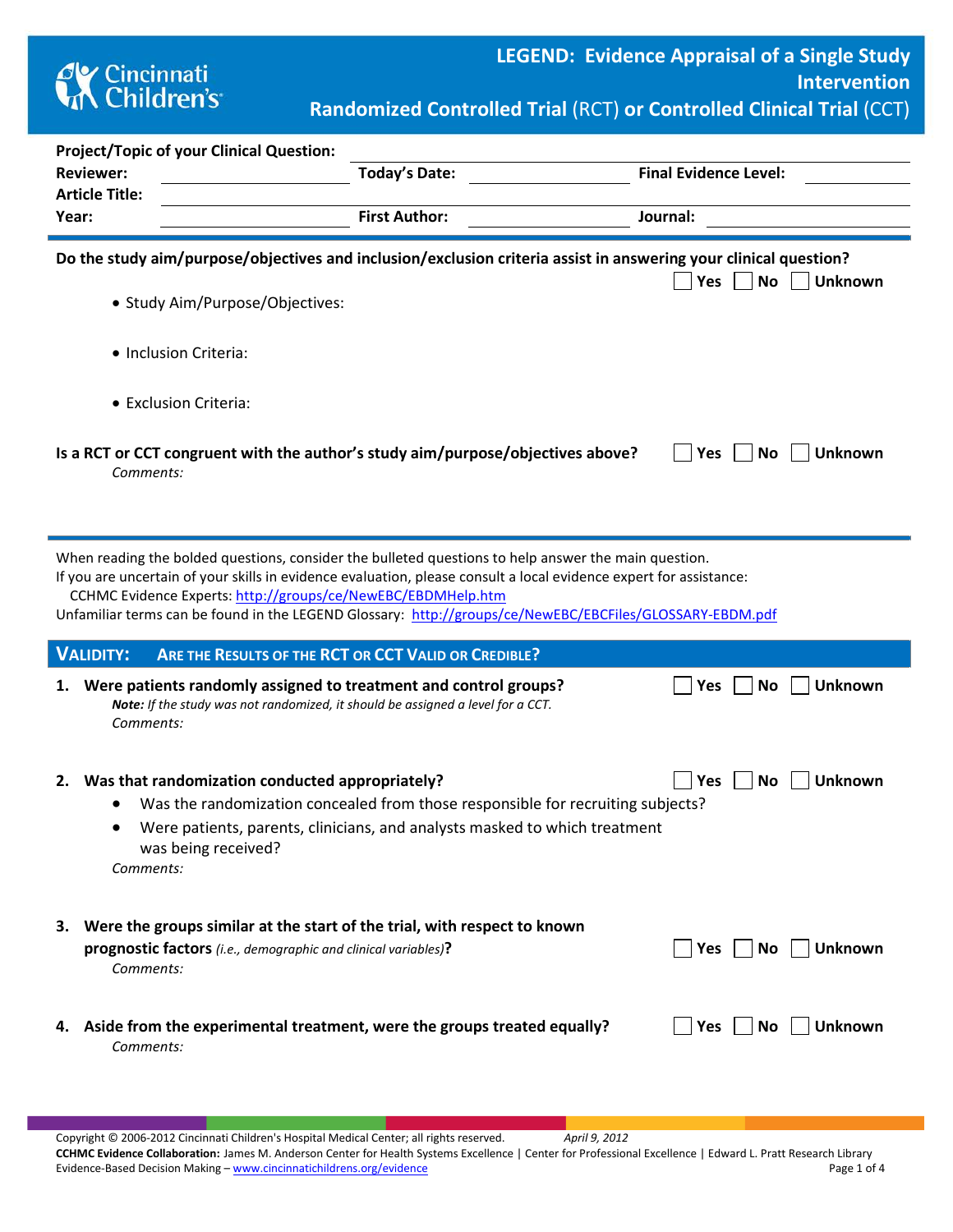

**Randomized Controlled Trial** (RCT) **or Controlled Clinical Trial** (CCT)

|                                                                                                                                                                                                                                                                                                                                                                                                        | <b>Project/Topic of your Clinical Question:</b>                                                                                                                                                                                                                      |                      |          |                              |     |                |  |  |  |  |  |  |
|--------------------------------------------------------------------------------------------------------------------------------------------------------------------------------------------------------------------------------------------------------------------------------------------------------------------------------------------------------------------------------------------------------|----------------------------------------------------------------------------------------------------------------------------------------------------------------------------------------------------------------------------------------------------------------------|----------------------|----------|------------------------------|-----|----------------|--|--|--|--|--|--|
|                                                                                                                                                                                                                                                                                                                                                                                                        | <b>Reviewer:</b>                                                                                                                                                                                                                                                     | Today's Date:        |          | <b>Final Evidence Level:</b> |     |                |  |  |  |  |  |  |
|                                                                                                                                                                                                                                                                                                                                                                                                        | <b>Article Title:</b>                                                                                                                                                                                                                                                | <b>First Author:</b> |          |                              |     |                |  |  |  |  |  |  |
| Year:                                                                                                                                                                                                                                                                                                                                                                                                  |                                                                                                                                                                                                                                                                      |                      | Journal: |                              |     |                |  |  |  |  |  |  |
|                                                                                                                                                                                                                                                                                                                                                                                                        | Do the study aim/purpose/objectives and inclusion/exclusion criteria assist in answering your clinical question?<br><b>No</b><br>Yes<br><b>Unknown</b><br>• Study Aim/Purpose/Objectives:                                                                            |                      |          |                              |     |                |  |  |  |  |  |  |
|                                                                                                                                                                                                                                                                                                                                                                                                        | · Inclusion Criteria:                                                                                                                                                                                                                                                |                      |          |                              |     |                |  |  |  |  |  |  |
|                                                                                                                                                                                                                                                                                                                                                                                                        | • Exclusion Criteria:                                                                                                                                                                                                                                                |                      |          |                              |     |                |  |  |  |  |  |  |
| Is a RCT or CCT congruent with the author's study aim/purpose/objectives above?<br>Yes<br>No<br><b>Unknown</b><br>Comments:                                                                                                                                                                                                                                                                            |                                                                                                                                                                                                                                                                      |                      |          |                              |     |                |  |  |  |  |  |  |
| When reading the bolded questions, consider the bulleted questions to help answer the main question.<br>If you are uncertain of your skills in evidence evaluation, please consult a local evidence expert for assistance:<br>CCHMC Evidence Experts: http://groups/ce/NewEBC/EBDMHelp.htm<br>Unfamiliar terms can be found in the LEGEND Glossary: http://groups/ce/NewEBC/EBCFiles/GLOSSARY-EBDM.pdf |                                                                                                                                                                                                                                                                      |                      |          |                              |     |                |  |  |  |  |  |  |
|                                                                                                                                                                                                                                                                                                                                                                                                        | <b>VALIDITY:</b><br>ARE THE RESULTS OF THE RCT OR CCT VALID OR CREDIBLE?                                                                                                                                                                                             |                      |          |                              |     |                |  |  |  |  |  |  |
|                                                                                                                                                                                                                                                                                                                                                                                                        | 1. Were patients randomly assigned to treatment and control groups?<br>Note: If the study was not randomized, it should be assigned a level for a CCT.<br>Comments:                                                                                                  |                      |          | Yes                          | No  | <b>Unknown</b> |  |  |  |  |  |  |
|                                                                                                                                                                                                                                                                                                                                                                                                        | 2. Was that randomization conducted appropriately?<br>Was the randomization concealed from those responsible for recruiting subjects?<br>Were patients, parents, clinicians, and analysts masked to which treatment<br>$\bullet$<br>was being received?<br>Comments: |                      |          | Yes                          | No  | <b>Unknown</b> |  |  |  |  |  |  |
|                                                                                                                                                                                                                                                                                                                                                                                                        | 3. Were the groups similar at the start of the trial, with respect to known<br>prognostic factors (i.e., demographic and clinical variables)?<br>Comments:                                                                                                           |                      |          | Yes                          | No  | <b>Unknown</b> |  |  |  |  |  |  |
|                                                                                                                                                                                                                                                                                                                                                                                                        | 4. Aside from the experimental treatment, were the groups treated equally?<br>Comments:                                                                                                                                                                              |                      |          | Yes                          | No. | <b>Unknown</b> |  |  |  |  |  |  |

Copyright © 2006-2012 Cincinnati Children's Hospital Medical Center; all rights reserved. *April 9, 2012* **CCHMC Evidence Collaboration:** James M. Anderson Center for Health Systems Excellence | Center for Professional Excellence | Edward L. Pratt Research Library Evidence-Based Decision Making – [www.cincinnatichildrens.org/evidence](http://www.cincinnatichildrens.org/service/j/anderson-center/evidence-based-care/legend/) Page 1 of 4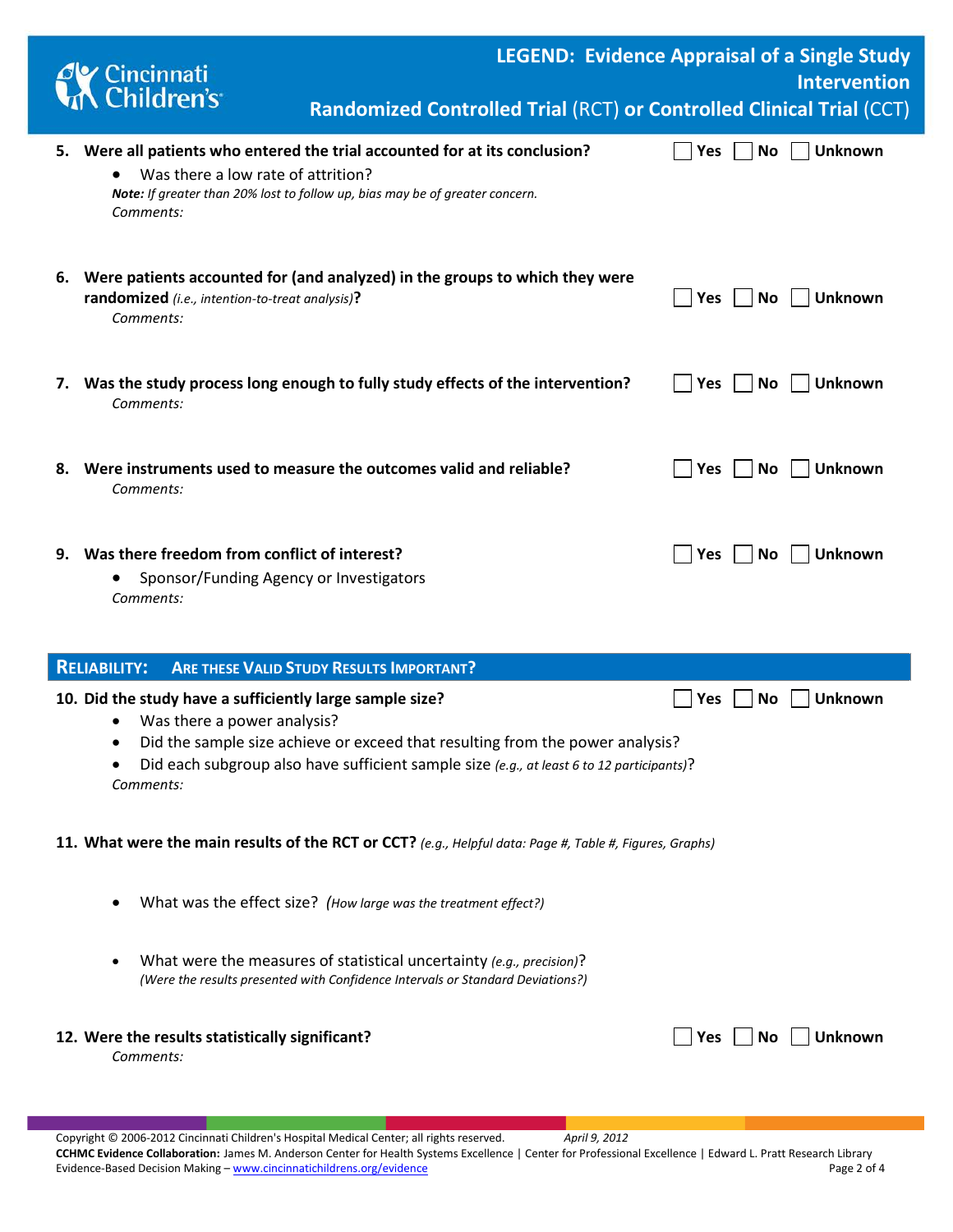|    | Cincinnati<br>Children's                                                                                  | Randomized Controlled Trial (RCT) or Controlled Clinical Trial (CCT)                                                                                                       | <b>LEGEND: Evidence Appraisal of a Single Study</b><br><b>Intervention</b> |
|----|-----------------------------------------------------------------------------------------------------------|----------------------------------------------------------------------------------------------------------------------------------------------------------------------------|----------------------------------------------------------------------------|
|    | Was there a low rate of attrition?<br>Comments:                                                           | 5. Were all patients who entered the trial accounted for at its conclusion?<br>Note: If greater than 20% lost to follow up, bias may be of greater concern.                | <b>Unknown</b><br>Yes<br>No.                                               |
|    | randomized (i.e., intention-to-treat analysis)?<br>Comments:                                              | 6. Were patients accounted for (and analyzed) in the groups to which they were                                                                                             | <b>Unknown</b><br>Yes<br>No.                                               |
|    | Comments:                                                                                                 | 7. Was the study process long enough to fully study effects of the intervention?                                                                                           | Yes<br><b>Unknown</b><br><b>No</b>                                         |
| 8. | Comments:                                                                                                 | Were instruments used to measure the outcomes valid and reliable?                                                                                                          | <b>Unknown</b><br>Yes<br>No                                                |
|    | 9. Was there freedom from conflict of interest?<br>Sponsor/Funding Agency or Investigators<br>Comments:   |                                                                                                                                                                            | <b>Unknown</b><br>Yes<br>No                                                |
|    | <b>RELIABILITY:</b>                                                                                       | <b>ARE THESE VALID STUDY RESULTS IMPORTANT?</b>                                                                                                                            |                                                                            |
|    | 10. Did the study have a sufficiently large sample size?<br>Was there a power analysis?<br>٠<br>Comments: | Did the sample size achieve or exceed that resulting from the power analysis?<br>Did each subgroup also have sufficient sample size (e.g., at least 6 to 12 participants)? | Unknown<br>Yes<br>Νo                                                       |
|    |                                                                                                           | 11. What were the main results of the RCT or CCT? (e.g., Helpful data: Page #, Table #, Figures, Graphs)                                                                   |                                                                            |
|    |                                                                                                           | What was the effect size? (How large was the treatment effect?)                                                                                                            |                                                                            |

• What were the measures of statistical uncertainty *(e.g., precision)*? *(Were the results presented with Confidence Intervals or Standard Deviations?)*

## 12. Were the results statistically significant? **All and Statistical Statistical Statistical** Statistical Mo **No Unknown**

*Comments:*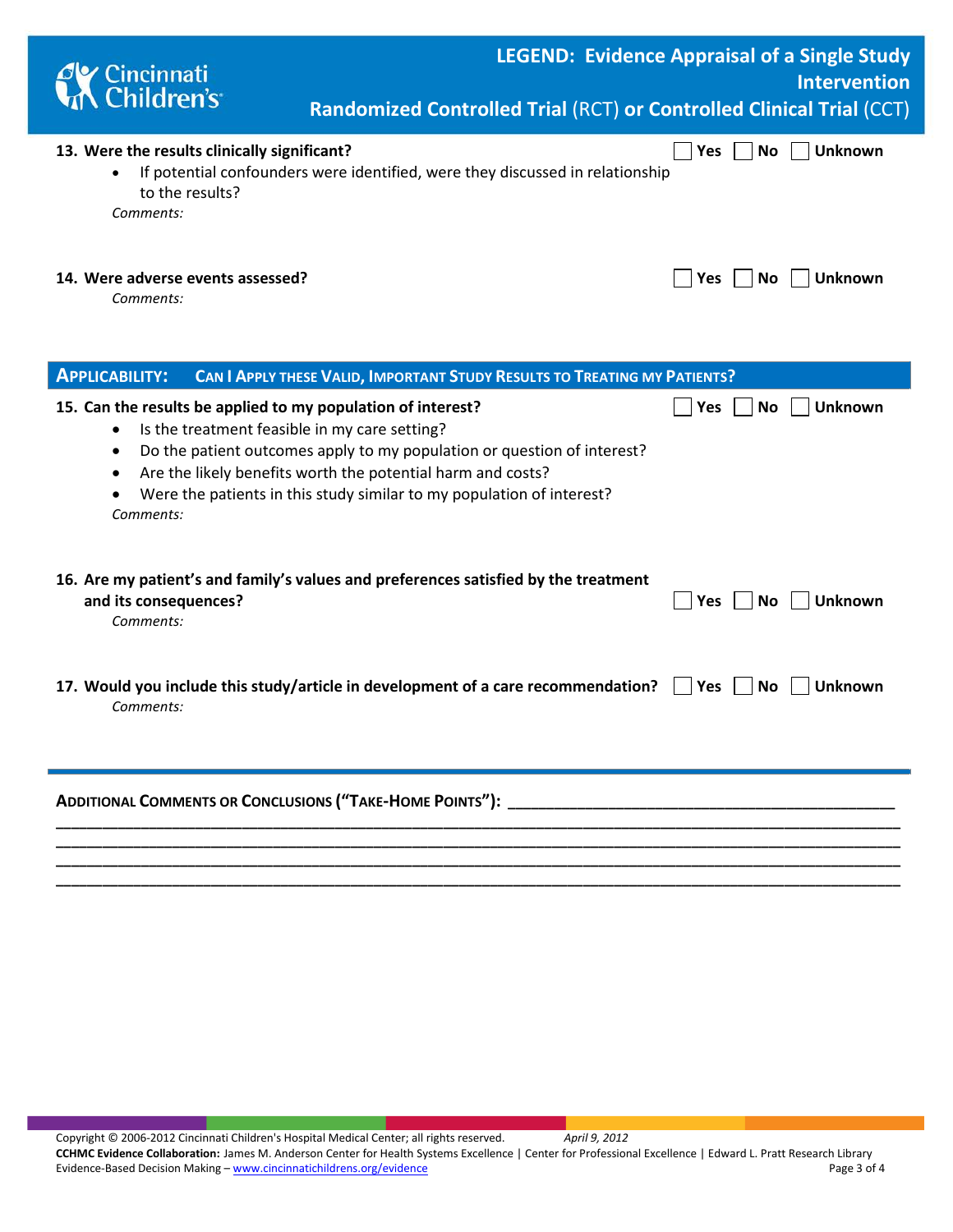| Cincinnati<br>A Children's                                                                                                                                | <b>LEGEND: Evidence Appraisal of a Single Study</b><br>Randomized Controlled Trial (RCT) or Controlled Clinical Trial (CCT)                                                                                     |            |           | <b>Intervention</b> |
|-----------------------------------------------------------------------------------------------------------------------------------------------------------|-----------------------------------------------------------------------------------------------------------------------------------------------------------------------------------------------------------------|------------|-----------|---------------------|
| 13. Were the results clinically significant?<br>to the results?<br>Comments:                                                                              | If potential confounders were identified, were they discussed in relationship                                                                                                                                   | Yes        | <b>No</b> | <b>Unknown</b>      |
| 14. Were adverse events assessed?<br>Comments:                                                                                                            |                                                                                                                                                                                                                 | <b>Yes</b> | No.       | Unknown             |
| <b>APPLICABILITY:</b>                                                                                                                                     | CAN I APPLY THESE VALID, IMPORTANT STUDY RESULTS TO TREATING MY PATIENTS?                                                                                                                                       |            |           |                     |
| 15. Can the results be applied to my population of interest?<br>Is the treatment feasible in my care setting?<br>٠<br>$\bullet$<br>$\bullet$<br>Comments: | Do the patient outcomes apply to my population or question of interest?<br>Are the likely benefits worth the potential harm and costs?<br>Were the patients in this study similar to my population of interest? | Yes        | No        | Unknown             |
| and its consequences?<br>Comments:                                                                                                                        | 16. Are my patient's and family's values and preferences satisfied by the treatment                                                                                                                             | Yes        | <b>No</b> | Unknown             |
| Comments:                                                                                                                                                 | 17. Would you include this study/article in development of a care recommendation?                                                                                                                               | <b>Yes</b> | No.       | Unknown             |
| <b>ADDITIONAL COMMENTS OR CONCLUSIONS ("TAKE-HOME POINTS"):</b>                                                                                           |                                                                                                                                                                                                                 |            |           |                     |